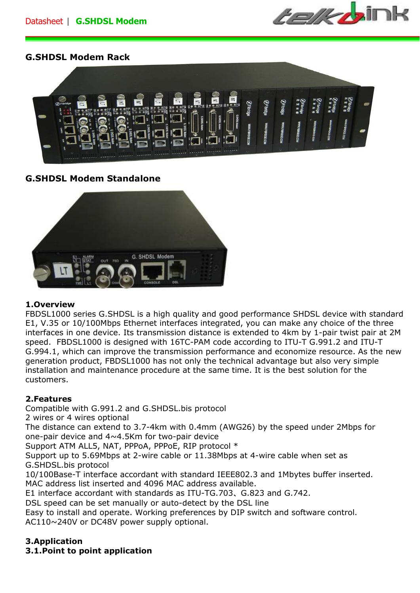

# **G.SHDSL Modem Rack**



# **G.SHDSL Modem Standalone**



#### **1.Overview**

FBDSL1000 series G.SHDSL is a high quality and good performance SHDSL device with standard E1, V.35 or 10/100Mbps Ethernet interfaces integrated, you can make any choice of the three interfaces in one device. Its transmission distance is extended to 4km by 1-pair twist pair at 2M speed. FBDSL1000 is designed with 16TC-PAM code according to ITU-T G.991.2 and ITU-T G.994.1, which can improve the transmission performance and economize resource. As the new generation product, FBDSL1000 has not only the technical advantage but also very simple installation and maintenance procedure at the same time. It is the best solution for the customers.

#### **2.Features**

Compatible with G.991.2 and G.SHDSL.bis protocol 2 wires or 4 wires optional

The distance can extend to 3.7-4km with 0.4mm (AWG26) by the speed under 2Mbps for one-pair device and 4~4.5Km for two-pair device

Support ATM ALL5, NAT, PPPoA, PPPoE, RIP protocol \*

Support up to 5.69Mbps at 2-wire cable or 11.38Mbps at 4-wire cable when set as G.SHDSL.bis protocol

10/100Base-T interface accordant with standard IEEE802.3 and 1Mbytes buffer inserted. MAC address list inserted and 4096 MAC address available.

E1 interface accordant with standards as ITU-TG.703、G.823 and G.742.

DSL speed can be set manually or auto-detect by the DSL line

Easy to install and operate. Working preferences by DIP switch and software control. AC110~240V or DC48V power supply optional.

# **3.Application**

**3.1.Point to point application**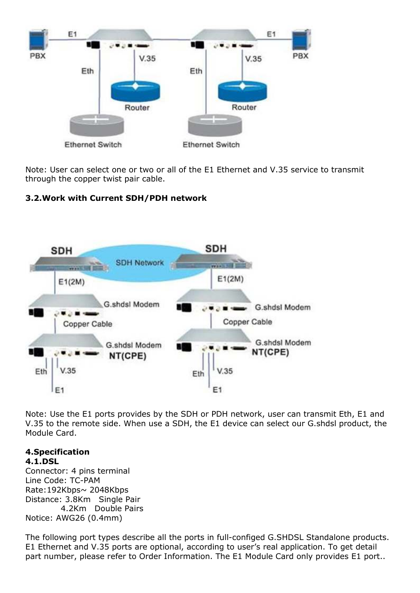

Note: User can select one or two or all of the E1 Ethernet and V.35 service to transmit through the copper twist pair cable.

# **3.2.Work with Current SDH/PDH network**



Note: Use the E1 ports provides by the SDH or PDH network, user can transmit Eth, E1 and V.35 to the remote side. When use a SDH, the E1 device can select our G.shdsl product, the Module Card.

#### **4.Specification 4.1.DSL**

Connector: 4 pins terminal Line Code: TC-PAM Rate:192Kbps~ 2048Kbps Distance: 3.8Km Single Pair 4.2Km Double Pairs Notice: AWG26 (0.4mm)

The following port types describe all the ports in full-configed G.SHDSL Standalone products. E1 Ethernet and V.35 ports are optional, according to user's real application. To get detail part number, please refer to Order Information. The E1 Module Card only provides E1 port..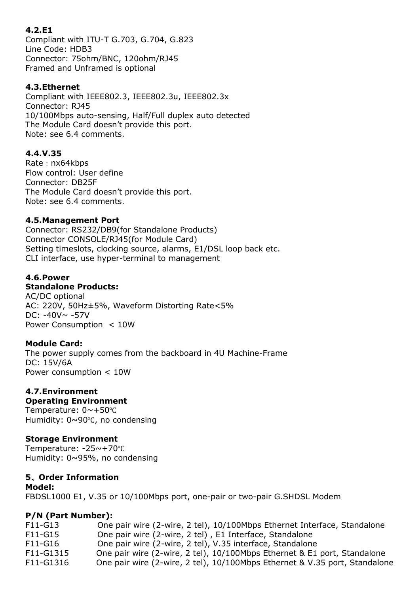## **4.2.E1**

Compliant with ITU-T G.703, G.704, G.823 Line Code: HDB3 Connector: 75ohm/BNC, 120ohm/RJ45 Framed and Unframed is optional

#### **4.3.Ethernet**

Compliant with IEEE802.3, IEEE802.3u, IEEE802.3x Connector: RJ45 10/100Mbps auto-sensing, Half/Full duplex auto detected The Module Card doesn't provide this port. Note: see 6.4 comments.

## **4.4.V.35**

Rate: nx64kbps Flow control: User define Connector: DB25F The Module Card doesn't provide this port. Note: see 6.4 comments.

#### **4.5.Management Port**

Connector: RS232/DB9(for Standalone Products) Connector CONSOLE/RJ45(for Module Card) Setting timeslots, clocking source, alarms, E1/DSL loop back etc. CLI interface, use hyper-terminal to management

#### **4.6.Power**

#### **Standalone Products:**

AC/DC optional AC: 220V, 50Hz±5%, Waveform Distorting Rate<5% DC:  $-40V \sim -57V$ Power Consumption < 10W

#### **Module Card:**

The power supply comes from the backboard in 4U Machine-Frame DC: 15V/6A Power consumption < 10W

# **4.7.Environment**

# **Operating Environment**

Temperature: 0~+50℃ Humidity: 0~90℃, no condensing

#### **Storage Environment**

Temperature: -25~+70℃ Humidity: 0~95%, no condensing

## **5**、**Order Information**

**Model:** FBDSL1000 E1, V.35 or 10/100Mbps port, one-pair or two-pair G.SHDSL Modem

## **P/N (Part Number):**

| F11-G13   | One pair wire (2-wire, 2 tel), 10/100Mbps Ethernet Interface, Standalone   |
|-----------|----------------------------------------------------------------------------|
| F11-G15   | One pair wire (2-wire, 2 tel), E1 Interface, Standalone                    |
| F11-G16   | One pair wire (2-wire, 2 tel), V.35 interface, Standalone                  |
| F11-G1315 | One pair wire (2-wire, 2 tel), 10/100Mbps Ethernet & E1 port, Standalone   |
| F11-G1316 | One pair wire (2-wire, 2 tel), 10/100Mbps Ethernet & V.35 port, Standalone |